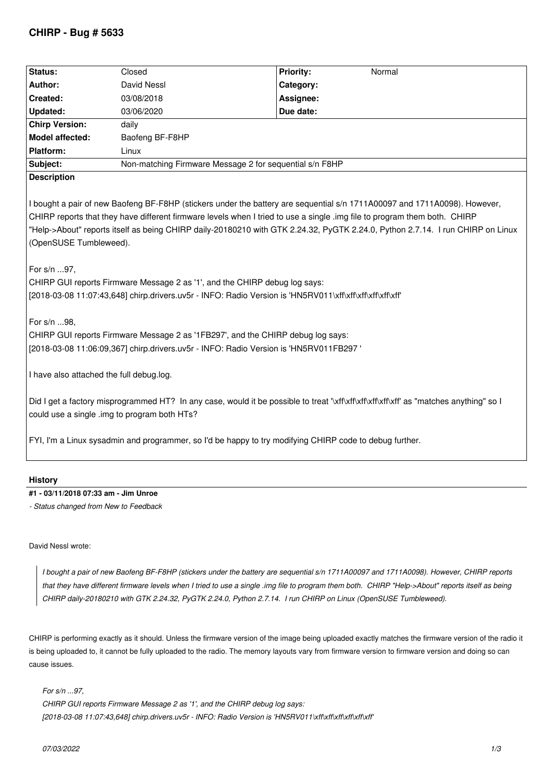# **CHIRP - Bug # 5633**

| Status:                                                                                                                                             | Closed                                                  | <b>Priority:</b> | Normal |
|-----------------------------------------------------------------------------------------------------------------------------------------------------|---------------------------------------------------------|------------------|--------|
| Author:                                                                                                                                             | David Nessl                                             | Category:        |        |
| Created:                                                                                                                                            | 03/08/2018                                              | Assignee:        |        |
| <b>Updated:</b>                                                                                                                                     | 03/06/2020                                              | Due date:        |        |
| <b>Chirp Version:</b>                                                                                                                               | daily                                                   |                  |        |
| Model affected:                                                                                                                                     | Baofeng BF-F8HP                                         |                  |        |
| Platform:                                                                                                                                           | Linux                                                   |                  |        |
| Subject:                                                                                                                                            | Non-matching Firmware Message 2 for sequential s/n F8HP |                  |        |
| <b>Description</b>                                                                                                                                  |                                                         |                  |        |
|                                                                                                                                                     |                                                         |                  |        |
| I bought a pair of new Baofeng BF-F8HP (stickers under the battery are sequential s/n 1711A00097 and 1711A0098). However,                           |                                                         |                  |        |
| CHIRP reports that they have different firmware levels when I tried to use a single .img file to program them both. CHIRP                           |                                                         |                  |        |
| "Help->About" reports itself as being CHIRP daily-20180210 with GTK 2.24.32, PyGTK 2.24.0, Python 2.7.14. I run CHIRP on Linux                      |                                                         |                  |        |
| (OpenSUSE Tumbleweed).                                                                                                                              |                                                         |                  |        |
|                                                                                                                                                     |                                                         |                  |        |
| For s/n 97,                                                                                                                                         |                                                         |                  |        |
| CHIRP GUI reports Firmware Message 2 as '1', and the CHIRP debug log says:                                                                          |                                                         |                  |        |
| [2018-03-08 11:07:43,648] chirp.drivers.uv5r - INFO: Radio Version is 'HN5RV011\xff\xff\xff\xff\xff\xff\f\f                                         |                                                         |                  |        |
|                                                                                                                                                     |                                                         |                  |        |
| For s/n 98,                                                                                                                                         |                                                         |                  |        |
| CHIRP GUI reports Firmware Message 2 as '1FB297', and the CHIRP debug log says:                                                                     |                                                         |                  |        |
| [2018-03-08 11:06:09,367] chirp.drivers.uv5r - INFO: Radio Version is 'HN5RV011FB297 '                                                              |                                                         |                  |        |
|                                                                                                                                                     |                                                         |                  |        |
| I have also attached the full debug.log.                                                                                                            |                                                         |                  |        |
|                                                                                                                                                     |                                                         |                  |        |
| Did I get a factory misprogrammed HT? In any case, would it be possible to treat "xff\xff\xff\xff\xff\xff\xff\ff\xff\sff as "matches anything" so I |                                                         |                  |        |
| could use a single .img to program both HTs?                                                                                                        |                                                         |                  |        |
|                                                                                                                                                     |                                                         |                  |        |
| FYI, I'm a Linux sysadmin and programmer, so I'd be happy to try modifying CHIRP code to debug further.                                             |                                                         |                  |        |

### **History**

### **#1 - 03/11/2018 07:33 am - Jim Unroe**

*- Status changed from New to Feedback*

*David Nessl wrote:*

*I bought a pair of new Baofeng BF-F8HP (stickers under the battery are sequential s/n 1711A00097 and 1711A0098). However, CHIRP reports that they have different firmware levels when I tried to use a single .img file to program them both. CHIRP "Help->About" reports itself as being CHIRP daily-20180210 with GTK 2.24.32, PyGTK 2.24.0, Python 2.7.14. I run CHIRP on Linux (OpenSUSE Tumbleweed).*

*CHIRP is performing exactly as it should. Unless the firmware version of the image being uploaded exactly matches the firmware version of the radio it is being uploaded to, it cannot be fully uploaded to the radio. The memory layouts vary from firmware version to firmware version and doing so can cause issues.*

*For s/n ...97,* 

*CHIRP GUI reports Firmware Message 2 as '1', and the CHIRP debug log says: [2018-03-08 11:07:43,648] chirp.drivers.uv5r - INFO: Radio Version is 'HN5RV011\xff\xff\xff\xff\xff\xff'*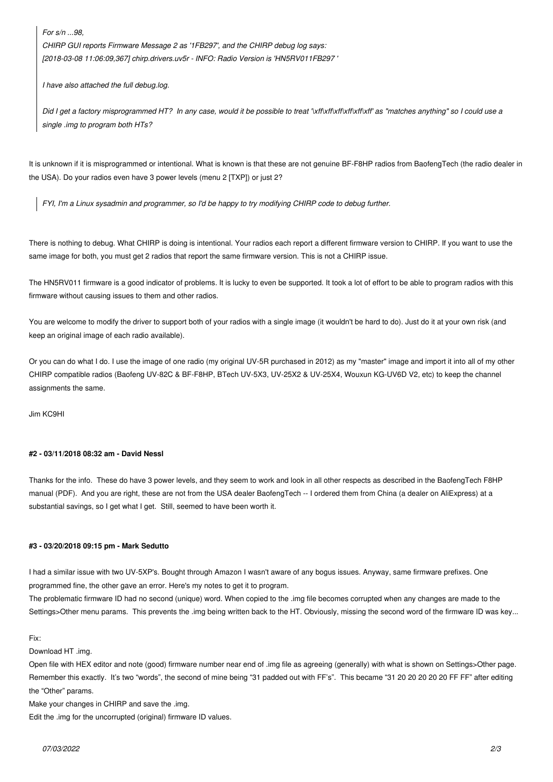*For s/n ...98, CHIRP GUI reports Firmware Message 2 as '1FB297', and the CHIRP debug log says: [2018-03-08 11:06:09,367] chirp.drivers.uv5r - INFO: Radio Version is 'HN5RV011FB297 '*

*I have also attached the full debug.log.*

*Did I get a factory misprogrammed HT? In any case, would it be possible to treat '\xff\xff\xff\xff\xff\xff' as "matches anything" so I could use a single .img to program both HTs?*

*It is unknown if it is misprogrammed or intentional. What is known is that these are not genuine BF-F8HP radios from BaofengTech (the radio dealer in the USA). Do your radios even have 3 power levels (menu 2 [TXP]) or just 2?*

*FYI, I'm a Linux sysadmin and programmer, so I'd be happy to try modifying CHIRP code to debug further.*

*There is nothing to debug. What CHIRP is doing is intentional. Your radios each report a different firmware version to CHIRP. If you want to use the same image for both, you must get 2 radios that report the same firmware version. This is not a CHIRP issue.*

*The HN5RV011 firmware is a good indicator of problems. It is lucky to even be supported. It took a lot of effort to be able to program radios with this firmware without causing issues to them and other radios.*

*You are welcome to modify the driver to support both of your radios with a single image (it wouldn't be hard to do). Just do it at your own risk (and keep an original image of each radio available).*

*Or you can do what I do. I use the image of one radio (my original UV-5R purchased in 2012) as my "master" image and import it into all of my other CHIRP compatible radios (Baofeng UV-82C & BF-F8HP, BTech UV-5X3, UV-25X2 & UV-25X4, Wouxun KG-UV6D V2, etc) to keep the channel assignments the same.*

*Jim KC9HI*

### **#2 - 03/11/2018 08:32 am - David Nessl**

*Thanks for the info. These do have 3 power levels, and they seem to work and look in all other respects as described in the BaofengTech F8HP manual (PDF). And you are right, these are not from the USA dealer BaofengTech -- I ordered them from China (a dealer on AliExpress) at a substantial savings, so I get what I get. Still, seemed to have been worth it.*

#### **#3 - 03/20/2018 09:15 pm - Mark Sedutto**

*I had a similar issue with two UV-5XP's. Bought through Amazon I wasn't aware of any bogus issues. Anyway, same firmware prefixes. One programmed fine, the other gave an error. Here's my notes to get it to program.* 

*The problematic firmware ID had no second (unique) word. When copied to the .img file becomes corrupted when any changes are made to the Settings>Other menu params. This prevents the .img being written back to the HT. Obviously, missing the second word of the firmware ID was key...*

### *Fix:*

*Download HT .img.* 

*Open file with HEX editor and note (good) firmware number near end of .img file as agreeing (generally) with what is shown on Settings>Other page. Remember this exactly. It's two "words", the second of mine being "31 padded out with FF's". This became "31 20 20 20 20 20 FF FF" after editing the "Other" params.*

*Make your changes in CHIRP and save the .img.* 

*Edit the .img for the uncorrupted (original) firmware ID values.*